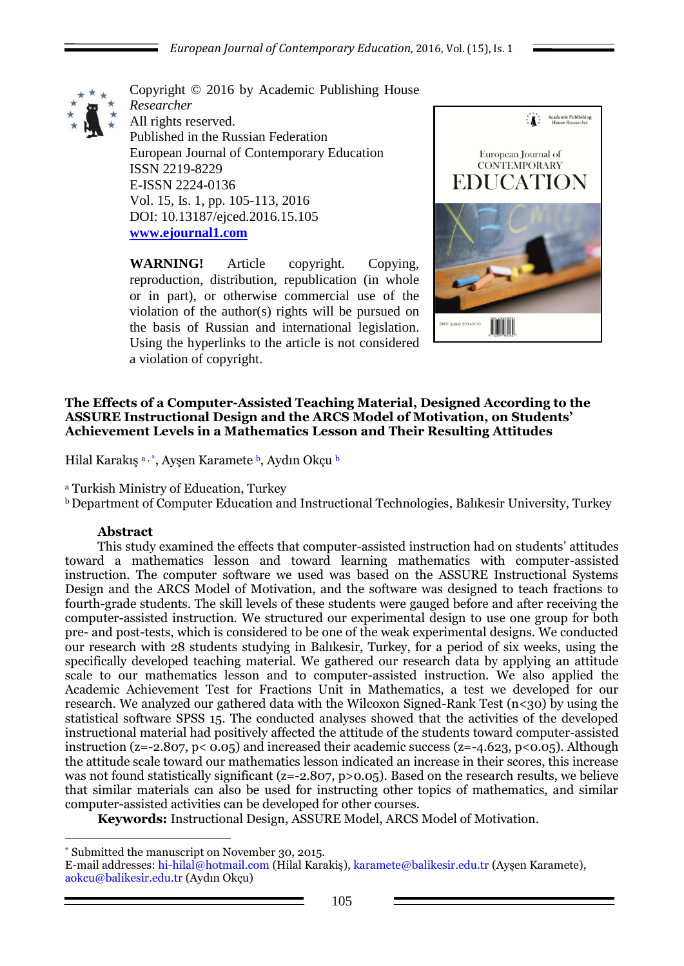

Copyright © 2016 by Academic Publishing House *Researcher* All rights reserved. Published in the Russian Federation European Journal of Contemporary Education ISSN 2219-8229 E-ISSN 2224-0136 Vol. 15, Is. 1, pp. 105-113, 2016 DOI: 10.13187/ejced.2016.15.105 **[www.ejournal1.com](http://www.ejournal1.com/)**

**WARNING!** Article copyright. Copying, reproduction, distribution, republication (in whole or in part), or otherwise commercial use of the violation of the author(s) rights will be pursued on the basis of Russian and international legislation. Using the hyperlinks to the article is not considered a violation of copyright.



### **The Effects of a Computer-Assisted Teaching Material, Designed According to the ASSURE Instructional Design and the ARCS Model of Motivation, on Students' Achievement Levels in a Mathematics Lesson and Their Resulting Attitudes**

Hilal Karakış a, \*, Ayşen Karamete b, Aydın Okçu b

<sup>a</sup> Turkish Ministry of Education, Turkey

<sup>b</sup> Department of Computer Education and Instructional Technologies, Balıkesir University, Turkey

## **Abstract**

1

This study examined the effects that computer-assisted instruction had on students' attitudes toward a mathematics lesson and toward learning mathematics with computer-assisted instruction. The computer software we used was based on the ASSURE Instructional Systems Design and the ARCS Model of Motivation, and the software was designed to teach fractions to fourth-grade students. The skill levels of these students were gauged before and after receiving the computer-assisted instruction. We structured our experimental design to use one group for both pre- and post-tests, which is considered to be one of the weak experimental designs. We conducted our research with 28 students studying in Balıkesir, Turkey, for a period of six weeks, using the specifically developed teaching material. We gathered our research data by applying an attitude scale to our mathematics lesson and to computer-assisted instruction. We also applied the Academic Achievement Test for Fractions Unit in Mathematics, a test we developed for our research. We analyzed our gathered data with the Wilcoxon Signed-Rank Test ( $n < 30$ ) by using the statistical software SPSS 15. The conducted analyses showed that the activities of the developed instructional material had positively affected the attitude of the students toward computer-assisted instruction (z=-2.807, p<  $0.05$ ) and increased their academic success (z=-4.623, p< $0.05$ ). Although the attitude scale toward our mathematics lesson indicated an increase in their scores, this increase was not found statistically significant (z=-2.807, p>0.05). Based on the research results, we believe that similar materials can also be used for instructing other topics of mathematics, and similar computer-assisted activities can be developed for other courses.

**Keywords:** Instructional Design, ASSURE Model, ARCS Model of Motivation.

<sup>\*</sup> Submitted the manuscript on November 30, 2015.

E-mail addresses: hi-hilal@hotmail.com (Hilal Karakiş), karamete@balikesir.edu.tr (Ayşen Karamete), aokcu@balikesir.edu.tr (Aydın Okçu)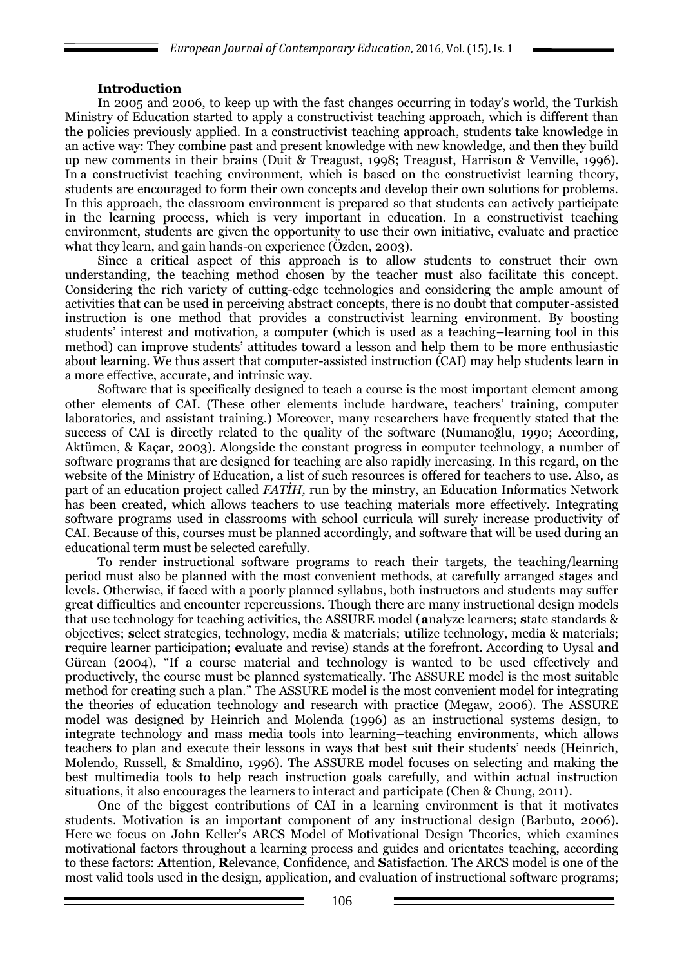## **Introduction**

In 2005 and 2006, to keep up with the fast changes occurring in today's world, the Turkish Ministry of Education started to apply a constructivist teaching approach, which is different than the policies previously applied. In a constructivist teaching approach, students take knowledge in an active way: They combine past and present knowledge with new knowledge, and then they build up new comments in their brains (Duit & Treagust, 1998; Treagust, Harrison & Venville, 1996). In a constructivist teaching environment, which is based on the constructivist learning theory, students are encouraged to form their own concepts and develop their own solutions for problems. In this approach, the classroom environment is prepared so that students can actively participate in the learning process, which is very important in education. In a constructivist teaching environment, students are given the opportunity to use their own initiative, evaluate and practice what they learn, and gain hands-on experience (Özden, 2003).

Since a critical aspect of this approach is to allow students to construct their own understanding, the teaching method chosen by the teacher must also facilitate this concept. Considering the rich variety of cutting-edge technologies and considering the ample amount of activities that can be used in perceiving abstract concepts, there is no doubt that computer-assisted instruction is one method that provides a constructivist learning environment. By boosting students' interest and motivation, a computer (which is used as a teaching–learning tool in this method) can improve students' attitudes toward a lesson and help them to be more enthusiastic about learning. We thus assert that computer-assisted instruction (CAI) may help students learn in a more effective, accurate, and intrinsic way.

Software that is specifically designed to teach a course is the most important element among other elements of CAI. (These other elements include hardware, teachers' training, computer laboratories, and assistant training.) Moreover, many researchers have frequently stated that the success of CAI is directly related to the quality of the software (Numanoğlu, 1990; According, Aktümen, & Kaçar, 2003). Alongside the constant progress in computer technology, a number of software programs that are designed for teaching are also rapidly increasing. In this regard, on the website of the Ministry of Education, a list of such resources is offered for teachers to use. Also, as part of an education project called *FATİH,* run by the minstry, an Education Informatics Network has been created, which allows teachers to use teaching materials more effectively. Integrating software programs used in classrooms with school curricula will surely increase productivity of CAI. Because of this, courses must be planned accordingly, and software that will be used during an educational term must be selected carefully.

To render instructional software programs to reach their targets, the teaching/learning period must also be planned with the most convenient methods, at carefully arranged stages and levels. Otherwise, if faced with a poorly planned syllabus, both instructors and students may suffer great difficulties and encounter repercussions. Though there are many instructional design models that use technology for teaching activities, the ASSURE model (**a**nalyze learners; **s**tate standards & objectives; **s**elect strategies, technology, media & materials; **u**tilize technology, media & materials; **r**equire learner participation; **e**valuate and revise) stands at the forefront. According to Uysal and Gürcan (2004), "If a course material and technology is wanted to be used effectively and productively, the course must be planned systematically. The ASSURE model is the most suitable method for creating such a plan." The ASSURE model is the most convenient model for integrating the theories of education technology and research with practice (Megaw, 2006). The ASSURE model was designed by Heinrich and Molenda (1996) as an instructional systems design, to integrate technology and mass media tools into learning–teaching environments, which allows teachers to plan and execute their lessons in ways that best suit their students' needs (Heinrich, Molendo, Russell, & Smaldino, 1996). The ASSURE model focuses on selecting and making the best multimedia tools to help reach instruction goals carefully, and within actual instruction situations, it also encourages the learners to interact and participate (Chen & Chung, 2011).

One of the biggest contributions of CAI in a learning environment is that it motivates students. Motivation is an important component of any instructional design (Barbuto, 2006). Here we focus on John Keller's ARCS Model of Motivational Design Theories, which examines motivational factors throughout a learning process and guides and orientates teaching, according to these factors: **A**ttention, **R**elevance, **C**onfidence, and **S**atisfaction. The ARCS model is one of the most valid tools used in the design, application, and evaluation of instructional software programs;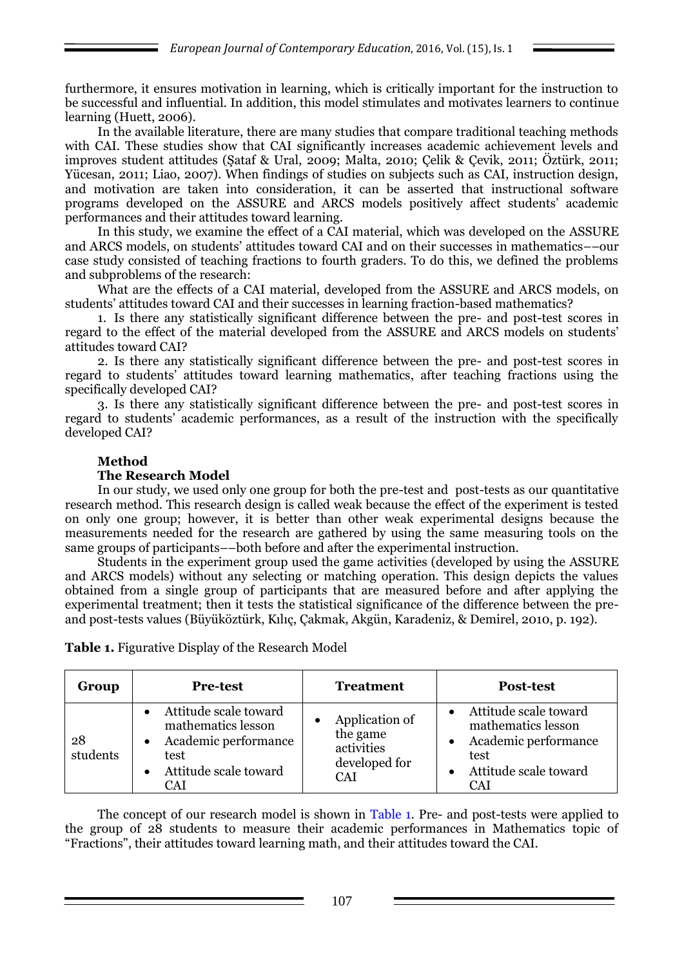furthermore, it ensures motivation in learning, which is critically important for the instruction to be successful and influential. In addition, this model stimulates and motivates learners to continue learning (Huett, 2006).

In the available literature, there are many studies that compare traditional teaching methods with CAI. These studies show that CAI significantly increases academic achievement levels and improves student attitudes (Şataf & Ural, 2009; Malta, 2010; Çelik & Çevik, 2011; Öztürk, 2011; Yücesan, 2011; Liao, 2007). When findings of studies on subjects such as CAI, instruction design, and motivation are taken into consideration, it can be asserted that instructional software programs developed on the ASSURE and ARCS models positively affect students' academic performances and their attitudes toward learning.

In this study, we examine the effect of a CAI material, which was developed on the ASSURE and ARCS models, on students' attitudes toward CAI and on their successes in mathematics––our case study consisted of teaching fractions to fourth graders. To do this, we defined the problems and subproblems of the research:

What are the effects of a CAI material, developed from the ASSURE and ARCS models, on students' attitudes toward CAI and their successes in learning fraction-based mathematics?

1. Is there any statistically significant difference between the pre- and post-test scores in regard to the effect of the material developed from the ASSURE and ARCS models on students' attitudes toward CAI?

2. Is there any statistically significant difference between the pre- and post-test scores in regard to students' attitudes toward learning mathematics, after teaching fractions using the specifically developed CAI?

3. Is there any statistically significant difference between the pre- and post-test scores in regard to students' academic performances, as a result of the instruction with the specifically developed CAI?

## **Method**

### **The Research Model**

In our study, we used only one group for both the pre-test and post-tests as our quantitative research method. This research design is called weak because the effect of the experiment is tested on only one group; however, it is better than other weak experimental designs because the measurements needed for the research are gathered by using the same measuring tools on the same groups of participants––both before and after the experimental instruction.

Students in the experiment group used the game activities (developed by using the ASSURE and ARCS models) without any selecting or matching operation. This design depicts the values obtained from a single group of participants that are measured before and after applying the experimental treatment; then it tests the statistical significance of the difference between the preand post-tests values (Büyüköztürk, Kılıç, Çakmak, Akgün, Karadeniz, & Demirel, 2010, p. 192).

**Table 1.** Figurative Display of the Research Model

| Group          | <b>Pre-test</b>                                                                                                    | <b>Treatment</b>                                                 | <b>Post-test</b>                                                                                                   |
|----------------|--------------------------------------------------------------------------------------------------------------------|------------------------------------------------------------------|--------------------------------------------------------------------------------------------------------------------|
| 28<br>students | Attitude scale toward<br>mathematics lesson<br>Academic performance<br>test<br>Attitude scale toward<br><b>CAI</b> | Application of<br>the game<br>activities<br>developed for<br>CAI | Attitude scale toward<br>mathematics lesson<br>Academic performance<br>test<br>Attitude scale toward<br><b>CAI</b> |

The concept of our research model is shown in Table 1. Pre- and post-tests were applied to the group of 28 students to measure their academic performances in Mathematics topic of ―Fractions‖, their attitudes toward learning math, and their attitudes toward the CAI.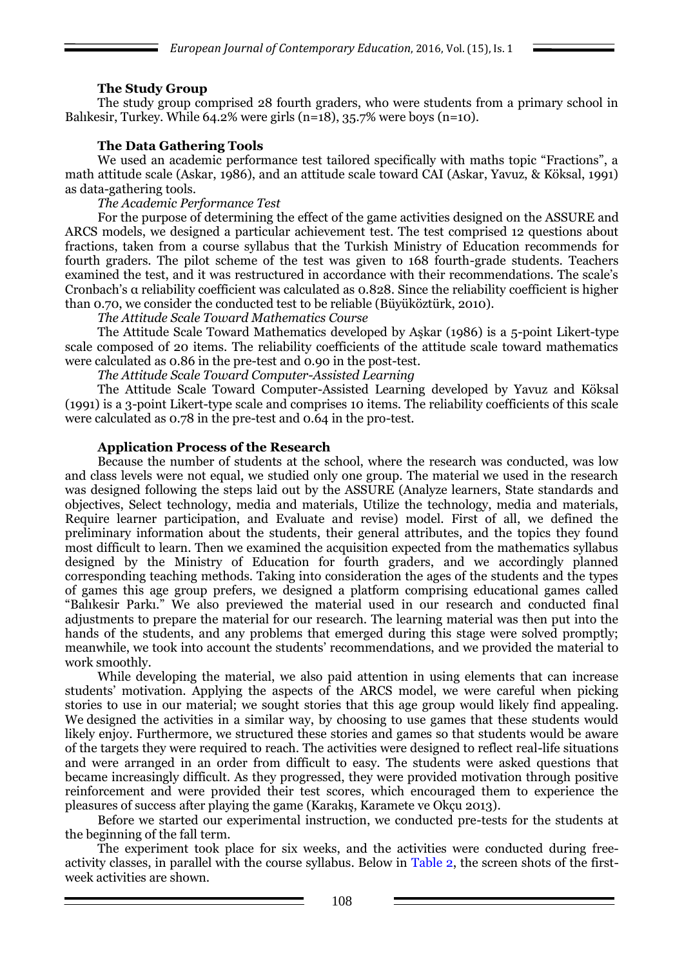## **The Study Group**

The study group comprised 28 fourth graders, who were students from a primary school in Balıkesir, Turkey. While  $64.2\%$  were girls (n=18), 35.7% were boys (n=10).

## **The Data Gathering Tools**

We used an academic performance test tailored specifically with maths topic "Fractions", a math attitude scale (Askar, 1986), and an attitude scale toward CAI (Askar, Yavuz, & Köksal, 1991) as data-gathering tools.

*The Academic Performance Test*

For the purpose of determining the effect of the game activities designed on the ASSURE and ARCS models, we designed a particular achievement test. The test comprised 12 questions about fractions, taken from a course syllabus that the Turkish Ministry of Education recommends for fourth graders. The pilot scheme of the test was given to 168 fourth-grade students. Teachers examined the test, and it was restructured in accordance with their recommendations. The scale's Cronbach's α reliability coefficient was calculated as 0.828. Since the reliability coefficient is higher than 0.70, we consider the conducted test to be reliable (Büyüköztürk, 2010).

*The Attitude Scale Toward Mathematics Course*

The Attitude Scale Toward Mathematics developed by Aşkar (1986) is a 5-point Likert-type scale composed of 20 items. The reliability coefficients of the attitude scale toward mathematics were calculated as 0.86 in the pre-test and 0.90 in the post-test.

*The Attitude Scale Toward Computer-Assisted Learning* 

The Attitude Scale Toward Computer-Assisted Learning developed by Yavuz and Köksal (1991) is a 3-point Likert-type scale and comprises 10 items. The reliability coefficients of this scale were calculated as 0.78 in the pre-test and 0.64 in the pro-test.

### **Application Process of the Research**

Because the number of students at the school, where the research was conducted, was low and class levels were not equal, we studied only one group. The material we used in the research was designed following the steps laid out by the ASSURE (Analyze learners, State standards and objectives, Select technology, media and materials, Utilize the technology, media and materials, Require learner participation, and Evaluate and revise) model. First of all, we defined the preliminary information about the students, their general attributes, and the topics they found most difficult to learn. Then we examined the acquisition expected from the mathematics syllabus designed by the Ministry of Education for fourth graders, and we accordingly planned corresponding teaching methods. Taking into consideration the ages of the students and the types of games this age group prefers, we designed a platform comprising educational games called "Balıkesir Parkı." We also previewed the material used in our research and conducted final adjustments to prepare the material for our research. The learning material was then put into the hands of the students, and any problems that emerged during this stage were solved promptly; meanwhile, we took into account the students' recommendations, and we provided the material to work smoothly.

While developing the material, we also paid attention in using elements that can increase students' motivation. Applying the aspects of the ARCS model, we were careful when picking stories to use in our material; we sought stories that this age group would likely find appealing. We designed the activities in a similar way, by choosing to use games that these students would likely enjoy. Furthermore, we structured these stories and games so that students would be aware of the targets they were required to reach. The activities were designed to reflect real-life situations and were arranged in an order from difficult to easy. The students were asked questions that became increasingly difficult. As they progressed, they were provided motivation through positive reinforcement and were provided their test scores, which encouraged them to experience the pleasures of success after playing the game (Karakış, Karamete ve Okçu 2013).

Before we started our experimental instruction, we conducted pre-tests for the students at the beginning of the fall term.

The experiment took place for six weeks, and the activities were conducted during freeactivity classes, in parallel with the course syllabus. Below in Table 2, the screen shots of the firstweek activities are shown.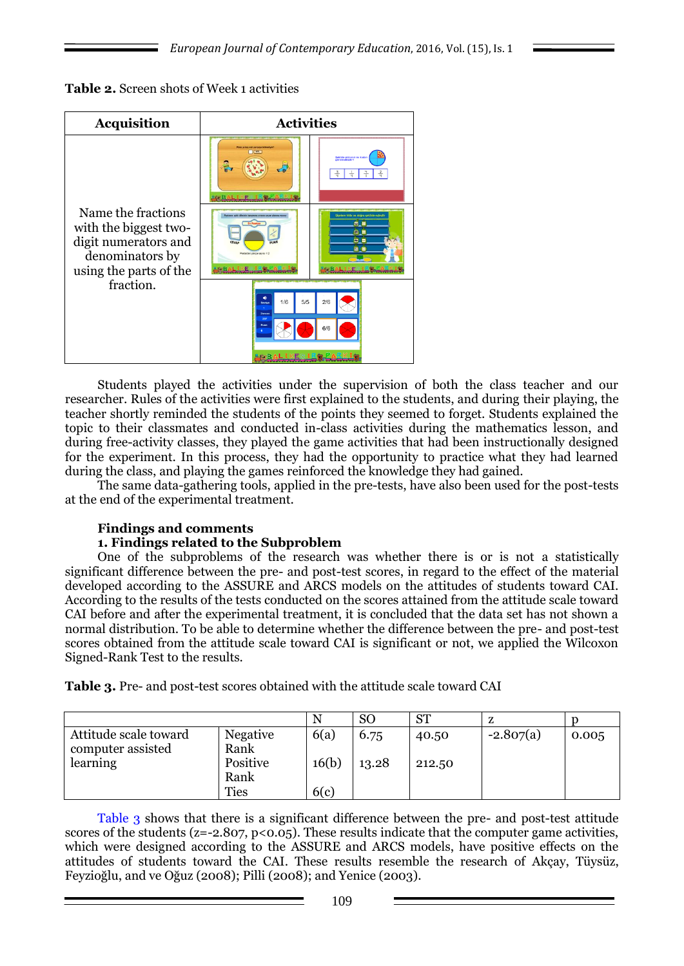| Table 2. Screen shots of Week 1 activities |
|--------------------------------------------|
|                                            |

| <b>Acquisition</b>                                                                                               | <b>Activities</b>                                                                                                 |                                                                    |  |  |  |  |
|------------------------------------------------------------------------------------------------------------------|-------------------------------------------------------------------------------------------------------------------|--------------------------------------------------------------------|--|--|--|--|
|                                                                                                                  | Plaza vi hac est parcova hitrochula?<br>$\sqrt{100}$                                                              | <b>Seklide pizzanın ne kadar</b><br>görülmektedir?                 |  |  |  |  |
| Name the fractions<br>with the biggest two-<br>digit numerators and<br>denominators by<br>using the parts of the | Pastenn vakk dilminin tamamına oranını cevar alanına yazını<br>CEVAP<br><b>HIAP</b><br>Pastadaki parça sayısı = 2 | Siselere fıkla ve doğru sekilde esleştir<br>6B<br>日日<br><b>C</b> B |  |  |  |  |
| fraction.                                                                                                        | ۰<br>5/5<br>1/6<br>Seritys<br>٠<br>Zaman<br>297<br><b>Puss</b>                                                    | 2/6<br>6/6                                                         |  |  |  |  |

Students played the activities under the supervision of both the class teacher and our researcher. Rules of the activities were first explained to the students, and during their playing, the teacher shortly reminded the students of the points they seemed to forget. Students explained the topic to their classmates and conducted in-class activities during the mathematics lesson, and during free-activity classes, they played the game activities that had been instructionally designed for the experiment. In this process, they had the opportunity to practice what they had learned during the class, and playing the games reinforced the knowledge they had gained.

The same data-gathering tools, applied in the pre-tests, have also been used for the post-tests at the end of the experimental treatment.

# **Findings and comments**

## **1. Findings related to the Subproblem**

One of the subproblems of the research was whether there is or is not a statistically significant difference between the pre- and post-test scores, in regard to the effect of the material developed according to the ASSURE and ARCS models on the attitudes of students toward CAI. According to the results of the tests conducted on the scores attained from the attitude scale toward CAI before and after the experimental treatment, it is concluded that the data set has not shown a normal distribution. To be able to determine whether the difference between the pre- and post-test scores obtained from the attitude scale toward CAI is significant or not, we applied the Wilcoxon Signed-Rank Test to the results.

**Table 3.** Pre- and post-test scores obtained with the attitude scale toward CAI

|                                            |                         |       | <sub>SO</sub> | <b>ST</b> |             |       |
|--------------------------------------------|-------------------------|-------|---------------|-----------|-------------|-------|
| Attitude scale toward<br>computer assisted | <b>Negative</b><br>Rank | 6(a)  | 6.75          | 40.50     | $-2.807(a)$ | 0.005 |
| learning                                   | Positive<br>Rank        | 16(b) | 13.28         | 212.50    |             |       |
|                                            | <b>Ties</b>             | 6(c)  |               |           |             |       |

Table 3 shows that there is a significant difference between the pre- and post-test attitude scores of the students ( $z=-2.807$ ,  $p<0.05$ ). These results indicate that the computer game activities, which were designed according to the ASSURE and ARCS models, have positive effects on the attitudes of students toward the CAI. These results resemble the research of Akçay, Tüysüz, Feyzioğlu, and ve Oğuz (2008); Pilli (2008); and Yenice (2003).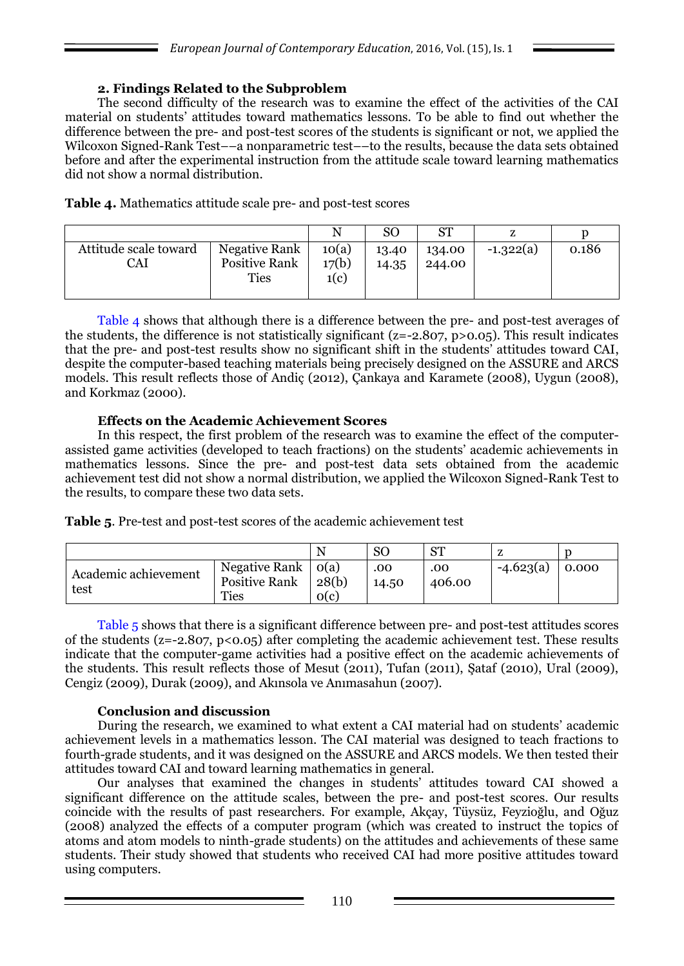### **2. Findings Related to the Subproblem**

The second difficulty of the research was to examine the effect of the activities of the CAI material on students' attitudes toward mathematics lessons. To be able to find out whether the difference between the pre- and post-test scores of the students is significant or not, we applied the Wilcoxon Signed-Rank Test––a nonparametric test––to the results, because the data sets obtained before and after the experimental instruction from the attitude scale toward learning mathematics did not show a normal distribution.

**Table 4.** Mathematics attitude scale pre- and post-test scores

|                              |                                                             |                        | SО             | <b>ST</b>        |             |       |
|------------------------------|-------------------------------------------------------------|------------------------|----------------|------------------|-------------|-------|
| Attitude scale toward<br>CAI | <b>Negative Rank</b><br><b>Positive Rank</b><br><b>Ties</b> | 10(a)<br>17(b)<br>1(c) | 13.40<br>14.35 | 134.00<br>244.00 | $-1.322(a)$ | 0.186 |

Table 4 shows that although there is a difference between the pre- and post-test averages of the students, the difference is not statistically significant ( $z=-2.807$ ,  $p>0.05$ ). This result indicates that the pre- and post-test results show no significant shift in the students' attitudes toward CAI, despite the computer-based teaching materials being precisely designed on the ASSURE and ARCS models. This result reflects those of Andiç (2012), Çankaya and Karamete (2008), Uygun (2008), and Korkmaz (2000).

### **Effects on the Academic Achievement Scores**

In this respect, the first problem of the research was to examine the effect of the computerassisted game activities (developed to teach fractions) on the students' academic achievements in mathematics lessons. Since the pre- and post-test data sets obtained from the academic achievement test did not show a normal distribution, we applied the Wilcoxon Signed-Rank Test to the results, to compare these two data sets.

**Table 5**. Pre-test and post-test scores of the academic achievement test

|                              |                                                      | N                          | <b>SO</b>    | <b>ST</b>     |             |       |
|------------------------------|------------------------------------------------------|----------------------------|--------------|---------------|-------------|-------|
| Academic achievement<br>test | Negative Rank<br><b>Positive Rank</b><br><b>Ties</b> | $\log(a)$<br>28(b)<br>o(c) | .00<br>14.50 | .00<br>406.00 | $-4.623(a)$ | 0.000 |

Table 5 shows that there is a significant difference between pre- and post-test attitudes scores of the students ( $z=-2.807$ ,  $p<0.05$ ) after completing the academic achievement test. These results indicate that the computer-game activities had a positive effect on the academic achievements of the students. This result reflects those of Mesut (2011), Tufan (2011), Şataf (2010), Ural (2009), Cengiz (2009), Durak (2009), and Akınsola ve Anımasahun (2007).

## **Conclusion and discussion**

During the research, we examined to what extent a CAI material had on students' academic achievement levels in a mathematics lesson. The CAI material was designed to teach fractions to fourth-grade students, and it was designed on the ASSURE and ARCS models. We then tested their attitudes toward CAI and toward learning mathematics in general.

Our analyses that examined the changes in students' attitudes toward CAI showed a significant difference on the attitude scales, between the pre- and post-test scores. Our results coincide with the results of past researchers. For example, Akçay, Tüysüz, Feyzioğlu, and Oğuz (2008) analyzed the effects of a computer program (which was created to instruct the topics of atoms and atom models to ninth-grade students) on the attitudes and achievements of these same students. Their study showed that students who received CAI had more positive attitudes toward using computers.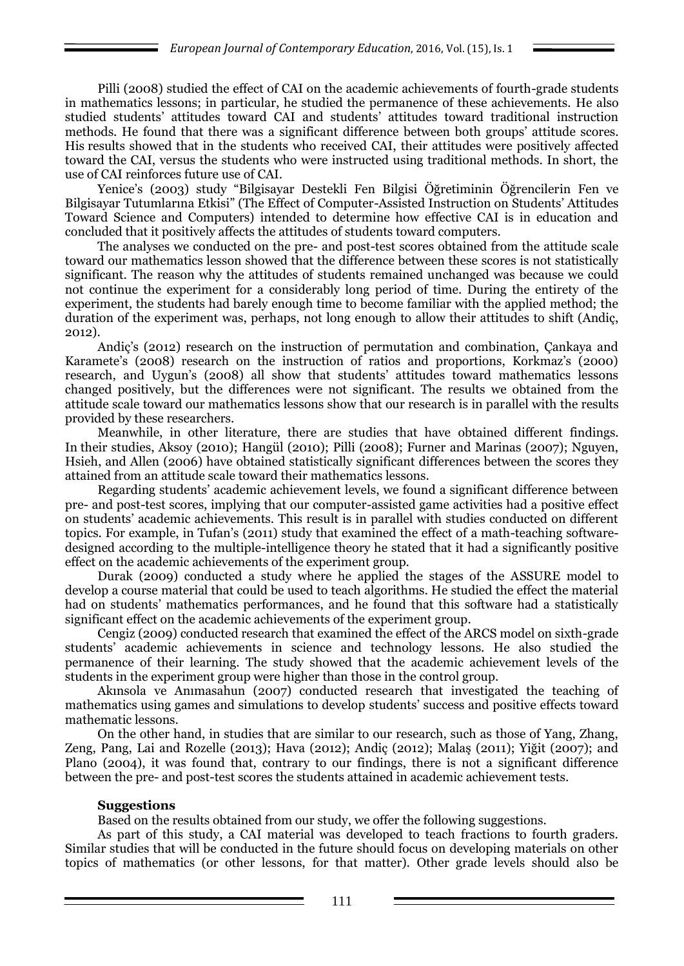Pilli (2008) studied the effect of CAI on the academic achievements of fourth-grade students in mathematics lessons; in particular, he studied the permanence of these achievements. He also studied students' attitudes toward CAI and students' attitudes toward traditional instruction methods. He found that there was a significant difference between both groups' attitude scores. His results showed that in the students who received CAI, their attitudes were positively affected toward the CAI, versus the students who were instructed using traditional methods. In short, the use of CAI reinforces future use of CAI.

Yenice's (2003) study "Bilgisayar Destekli Fen Bilgisi Öğretiminin Öğrencilerin Fen ve Bilgisayar Tutumlarına Etkisi" (The Effect of Computer-Assisted Instruction on Students' Attitudes Toward Science and Computers) intended to determine how effective CAI is in education and concluded that it positively affects the attitudes of students toward computers.

The analyses we conducted on the pre- and post-test scores obtained from the attitude scale toward our mathematics lesson showed that the difference between these scores is not statistically significant. The reason why the attitudes of students remained unchanged was because we could not continue the experiment for a considerably long period of time. During the entirety of the experiment, the students had barely enough time to become familiar with the applied method; the duration of the experiment was, perhaps, not long enough to allow their attitudes to shift (Andiç, 2012).

Andiç's (2012) research on the instruction of permutation and combination, Çankaya and Karamete's (2008) research on the instruction of ratios and proportions, Korkmaz's (2000) research, and Uygun's (2008) all show that students' attitudes toward mathematics lessons changed positively, but the differences were not significant. The results we obtained from the attitude scale toward our mathematics lessons show that our research is in parallel with the results provided by these researchers.

Meanwhile, in other literature, there are studies that have obtained different findings. In their studies, Aksoy (2010); Hangül (2010); Pilli (2008); Furner and Marinas (2007); Nguyen, Hsieh, and Allen (2006) have obtained statistically significant differences between the scores they attained from an attitude scale toward their mathematics lessons.

Regarding students' academic achievement levels, we found a significant difference between pre- and post-test scores, implying that our computer-assisted game activities had a positive effect on students' academic achievements. This result is in parallel with studies conducted on different topics. For example, in Tufan's (2011) study that examined the effect of a math-teaching softwaredesigned according to the multiple-intelligence theory he stated that it had a significantly positive effect on the academic achievements of the experiment group.

Durak (2009) conducted a study where he applied the stages of the ASSURE model to develop a course material that could be used to teach algorithms. He studied the effect the material had on students' mathematics performances, and he found that this software had a statistically significant effect on the academic achievements of the experiment group.

Cengiz (2009) conducted research that examined the effect of the ARCS model on sixth-grade students' academic achievements in science and technology lessons. He also studied the permanence of their learning. The study showed that the academic achievement levels of the students in the experiment group were higher than those in the control group.

Akınsola ve Anımasahun (2007) conducted research that investigated the teaching of mathematics using games and simulations to develop students' success and positive effects toward mathematic lessons.

On the other hand, in studies that are similar to our research, such as those of Yang, Zhang, Zeng, Pang, Lai and Rozelle (2013); Hava (2012); Andiç (2012); Malaş (2011); Yiğit (2007); and Plano (2004), it was found that, contrary to our findings, there is not a significant difference between the pre- and post-test scores the students attained in academic achievement tests.

#### **Suggestions**

Based on the results obtained from our study, we offer the following suggestions.

As part of this study, a CAI material was developed to teach fractions to fourth graders. Similar studies that will be conducted in the future should focus on developing materials on other topics of mathematics (or other lessons, for that matter). Other grade levels should also be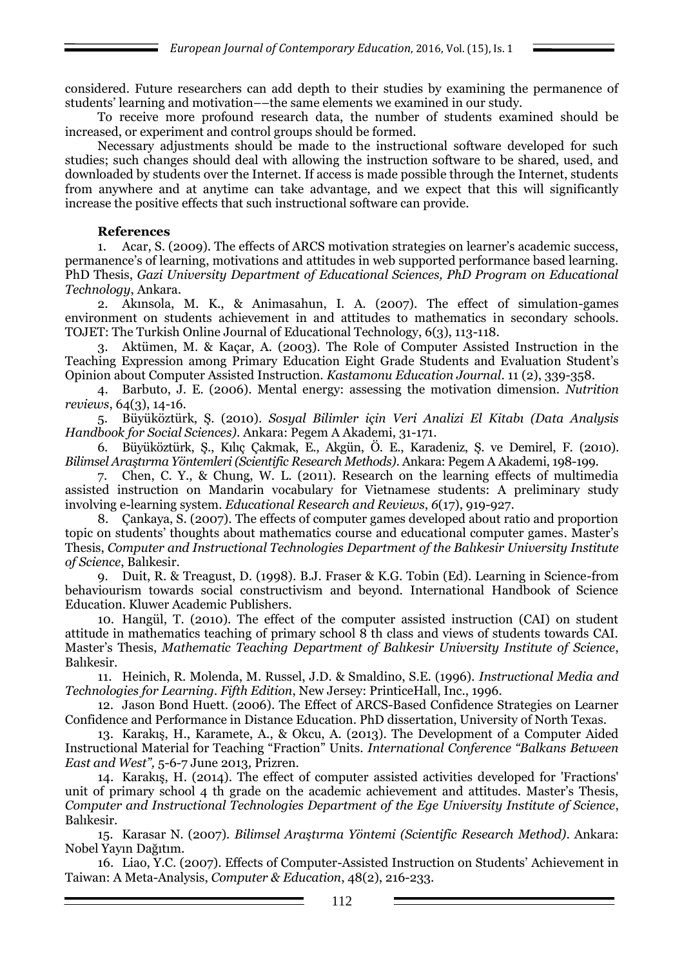considered. Future researchers can add depth to their studies by examining the permanence of students' learning and motivation––the same elements we examined in our study.

To receive more profound research data, the number of students examined should be increased, or experiment and control groups should be formed.

Necessary adjustments should be made to the instructional software developed for such studies; such changes should deal with allowing the instruction software to be shared, used, and downloaded by students over the Internet. If access is made possible through the Internet, students from anywhere and at anytime can take advantage, and we expect that this will significantly increase the positive effects that such instructional software can provide.

### **References**

1. Acar, S. (2009). The effects of ARCS motivation strategies on learner's academic success, permanence's of learning, motivations and attitudes in web supported performance based learning. PhD Thesis, *Gazi University Department of Educational Sciences, PhD Program on Educational Technology*, Ankara.

2. Akınsola, M. K., & Animasahun, I. A. (2007). The effect of simulation-games environment on students achievement in and attitudes to mathematics in secondary schools. TOJET: The Turkish Online Journal of Educational Technology, 6(3), 113-118.

3. Aktümen, M. & Kaçar, A. (2003). The Role of Computer Assisted Instruction in the Teaching Expression among Primary Education Eight Grade Students and Evaluation Student's Opinion about Computer Assisted Instruction. *Kastamonu Education Journal*. 11 (2), 339-358.

4. Barbuto, J. E. (2006). Mental energy: assessing the motivation dimension. *Nutrition reviews*, 64(3), 14-16.

5. Büyüköztürk, Ş. (2010). *Sosyal Bilimler için Veri Analizi El Kitabı (Data Analysis Handbook for Social Sciences)*. Ankara: Pegem A Akademi, 31-171.

6. Büyüköztürk, Ş., Kılıç Çakmak, E., Akgün, Ö. E., Karadeniz, Ş. ve Demirel, F. (2010). *Bilimsel Araştırma Yöntemleri (Scientific Research Methods)*. Ankara: Pegem A Akademi, 198-199.

7. Chen, C. Y., & Chung, W. L. (2011). Research on the learning effects of multimedia assisted instruction on Mandarin vocabulary for Vietnamese students: A preliminary study involving e-learning system. *Educational Research and Reviews*, *6*(17), 919-927.

8. Çankaya, S. (2007). The effects of computer games developed about ratio and proportion topic on students' thoughts about mathematics course and educational computer games. Master's Thesis, *Computer and Instructional Technologies Department of the Balıkesir University Institute of Science*, Balıkesir.

9. Duit, R. & Treagust, D. (1998). B.J. Fraser & K.G. Tobin (Ed). Learning in Science-from behaviourism towards social constructivism and beyond. International Handbook of Science Education. Kluwer Academic Publishers.

10. Hangül, T. (2010). The effect of the computer assisted instruction (CAI) on student attitude in mathematics teaching of primary school 8 th class and views of students towards CAI. Master's Thesis, *Mathematic Teaching Department of Balıkesir University Institute of Science*, Balıkesir.

11. Heinich, R. Molenda, M. Russel, J.D. & Smaldino, S.E. (1996). *Instructional Media and Technologies for Learning. Fifth Edition*, New Jersey: PrinticeHall, Inc., 1996.

12. Jason Bond Huett. (2006). The Effect of ARCS-Based Confidence Strategies on Learner Confidence and Performance in Distance Education. PhD dissertation, University of North Texas.

13. Karakış, H., Karamete, A., & Okcu, A. (2013). The Development of a Computer Aided Instructional Material for Teaching "Fraction" Units. *International Conference "Balkans Between East and West",* 5-6-7 June 2013*,* Prizren.

14. Karakış, H. (2014). The effect of computer assisted activities developed for 'Fractions' unit of primary school 4 th grade on the academic achievement and attitudes. Master's Thesis, *Computer and Instructional Technologies Department of the Ege University Institute of Science*, Balıkesir.

15. Karasar N. (2007). *Bilimsel Araştırma Yöntemi (Scientific Research Method)*. Ankara: Nobel Yayın Dağıtım.

16. Liao, Y.C. (2007). Effects of Computer-Assisted Instruction on Students' Achievement in Taiwan: A Meta-Analysis, *Computer & Education*, 48(2), 216-233.